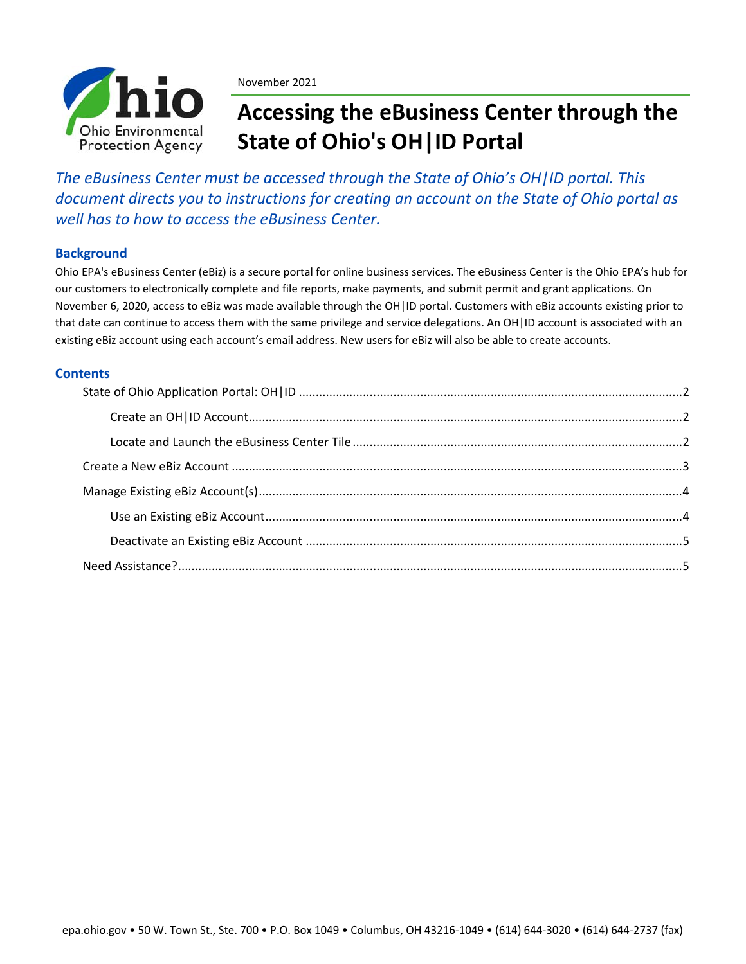

November 2021

# **Accessing the eBusiness Center through the State of Ohio's OH|ID Portal**

*The eBusiness Center must be accessed through the State of Ohio's OH|ID portal. This document directs you to instructions for creating an account on the State of Ohio portal as well has to how to access the eBusiness Center.*

## **Background**

Ohio EPA's eBusiness Center (eBiz) is a secure portal for online business services. The eBusiness Center is the Ohio EPA's hub for our customers to electronically complete and file reports, make payments, and submit permit and grant applications. On November 6, 2020, access to eBiz was made available through the OH|ID portal. Customers with eBiz accounts existing prior to that date can continue to access them with the same privilege and service delegations. An OH|ID account is associated with an existing eBiz account using each account's email address. New users for eBiz will also be able to create accounts.

## **Contents**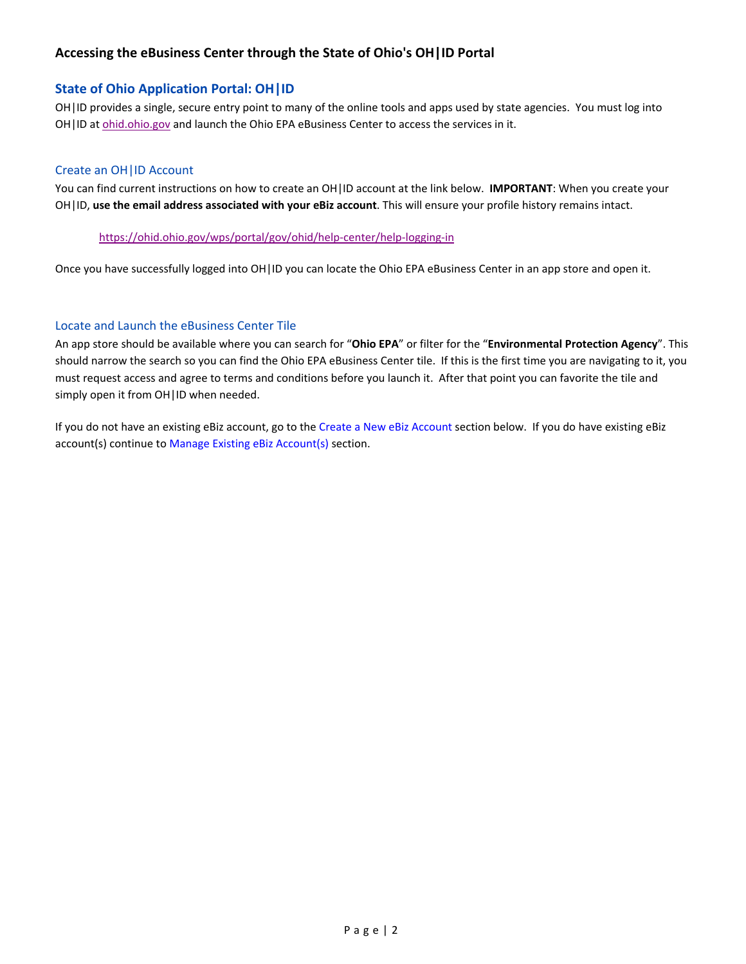# **Accessing the eBusiness Center through the State of Ohio's OH|ID Portal**

## **State of Ohio Application Portal: OH|ID**

OH|ID provides a single, secure entry point to many of the online tools and apps used by state agencies. You must log into OH|ID at ohid.ohio.gov and launch the Ohio EPA eBusiness Center to access the services in it.

#### Create an OH|ID Account

You can find current instructions on how to create an OH|ID account at the link below. **IMPORTANT**: When you create your OH|ID, **use the email address associated with your eBiz account**. This will ensure your profile history remains intact.

#### https://ohid.ohio.gov/wps/portal/gov/ohid/help‐center/help‐logging‐in

Once you have successfully logged into OH|ID you can locate the Ohio EPA eBusiness Center in an app store and open it.

#### Locate and Launch the eBusiness Center Tile

An app store should be available where you can search for "**Ohio EPA**" or filter for the "**Environmental Protection Agency**". This should narrow the search so you can find the Ohio EPA eBusiness Center tile. If this is the first time you are navigating to it, you must request access and agree to terms and conditions before you launch it. After that point you can favorite the tile and simply open it from OH | ID when needed.

If you do not have an existing eBiz account, go to the Create a New eBiz Account section below. If you do have existing eBiz account(s) continue to Manage Existing eBiz Account(s) section.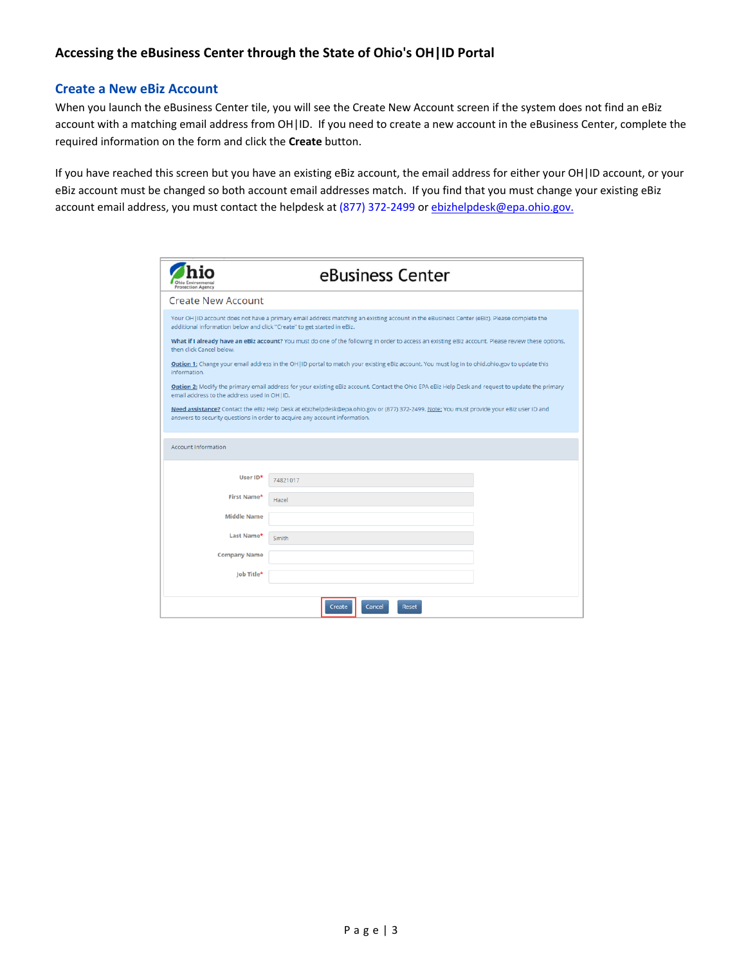### **Create a New eBiz Account**

When you launch the eBusiness Center tile, you will see the Create New Account screen if the system does not find an eBiz account with a matching email address from OH|ID. If you need to create a new account in the eBusiness Center, complete the required information on the form and click the **Create** button.

If you have reached this screen but you have an existing eBiz account, the email address for either your OH|ID account, or your eBiz account must be changed so both account email addresses match. If you find that you must change your existing eBiz account email address, you must contact the helpdesk at (877) 372-2499 or ebizhelpdesk@epa.ohio.gov.

| <b>Protection Agency</b>                                                | eBusiness Center                                                                                                                                                                                                       |
|-------------------------------------------------------------------------|------------------------------------------------------------------------------------------------------------------------------------------------------------------------------------------------------------------------|
| <b>Create New Account</b>                                               |                                                                                                                                                                                                                        |
| additional information below and click "Create" to get started in eBiz. | Your OH   ID account does not have a primary email address matching an existing account in the eBusiness Center (eBiz). Please complete the                                                                            |
| then click Cancel below.                                                | What if I already have an eBiz account? You must do one of the following in order to access an existing eBiz account. Please review these options,                                                                     |
| information.                                                            | Option 1: Change your email address in the OH   ID portal to match your existing eBiz account. You must log in to ohid.ohio.gov to update this                                                                         |
| email address to the address used in OH   ID.                           | Option 2: Modify the primary email address for your existing eBiz account. Contact the Ohio EPA eBiz Help Desk and request to update the primary                                                                       |
|                                                                         | Need assistance? Contact the eBiz Help Desk at ebizhelpdesk@epa.ohio.gov or (877) 372-2499. Note: You must provide your eBiz user ID and<br>answers to security questions in order to acquire any account information. |
| <b>Account Information</b>                                              |                                                                                                                                                                                                                        |
| User ID*                                                                | 74821017                                                                                                                                                                                                               |
| First Name*                                                             | Hazel                                                                                                                                                                                                                  |
| <b>Middle Name</b>                                                      |                                                                                                                                                                                                                        |
| Last Name*                                                              | Smith                                                                                                                                                                                                                  |
| <b>Company Name</b>                                                     |                                                                                                                                                                                                                        |
| Job Title*                                                              |                                                                                                                                                                                                                        |
|                                                                         | Cancel<br>Create<br><b>Reset</b>                                                                                                                                                                                       |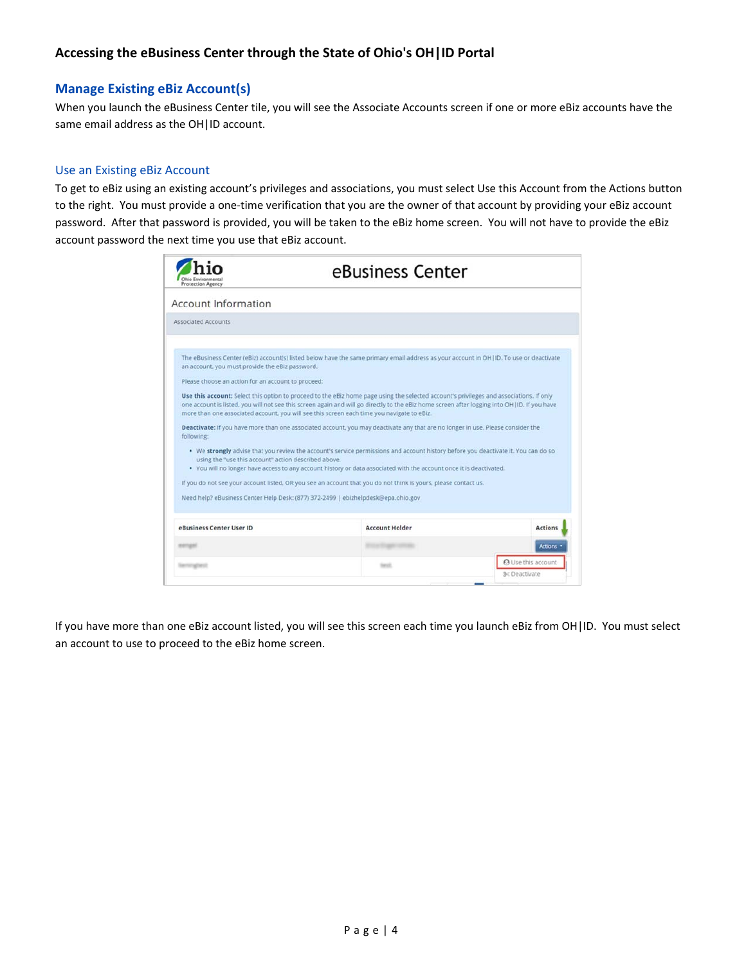## **Accessing the eBusiness Center through the State of Ohio's OH|ID Portal**

## **Manage Existing eBiz Account(s)**

When you launch the eBusiness Center tile, you will see the Associate Accounts screen if one or more eBiz accounts have the same email address as the OH|ID account.

#### Use an Existing eBiz Account

To get to eBiz using an existing account's privileges and associations, you must select Use this Account from the Actions button to the right. You must provide a one‐time verification that you are the owner of that account by providing your eBiz account password. After that password is provided, you will be taken to the eBiz home screen. You will not have to provide the eBiz account password the next time you use that eBiz account.

|                                                      | eBusiness Center                                                                                                                                                                                                                                                                                                                                                                        |                           |
|------------------------------------------------------|-----------------------------------------------------------------------------------------------------------------------------------------------------------------------------------------------------------------------------------------------------------------------------------------------------------------------------------------------------------------------------------------|---------------------------|
| <b>Account Information</b>                           |                                                                                                                                                                                                                                                                                                                                                                                         |                           |
| Associated Accounts                                  |                                                                                                                                                                                                                                                                                                                                                                                         |                           |
| an account, you must provide the eBiz password.      | The eBusiness Center (eBiz) account(s) listed below have the same primary email address as your account in OH (ID, To use or deactivate                                                                                                                                                                                                                                                 |                           |
| Please choose an action for an account to proceed:   | Use this account: Select this option to proceed to the eBiz home page using the selected account's privileges and associations. If only<br>one account is listed, you will not see this screen again and will go directly to the eBiz home screen after logging into OH   ID. If you have<br>more than one associated account, you will see this screen each time you navigate to eBiz. |                           |
| following:                                           | Deactivate: If you have more than one associated account, you may deactivate any that are no longer in use. Please consider the                                                                                                                                                                                                                                                         |                           |
| using the "use this account" action described above. | . We strongly advise that you review the account's service permissions and account history before you deactivate it. You can do so<br>. You will no longer have access to any account history or data associated with the account once it is deactivated.                                                                                                                               |                           |
|                                                      | If you do not see your account listed. OR you see an account that you do not think is yours, please contact us.                                                                                                                                                                                                                                                                         |                           |
|                                                      | Need help? eBusiness Center Help Desk: (877) 372-2499   ebizhelpdesk@epa.ohio.gov                                                                                                                                                                                                                                                                                                       |                           |
| eBusiness Center User ID                             | <b>Account Holder</b>                                                                                                                                                                                                                                                                                                                                                                   | <b>Actions</b>            |
| <b>PATTAIN</b>                                       |                                                                                                                                                                                                                                                                                                                                                                                         | <b>Actions</b>            |
|                                                      |                                                                                                                                                                                                                                                                                                                                                                                         | <b>A</b> Use this account |

If you have more than one eBiz account listed, you will see this screen each time you launch eBiz from OH|ID. You must select an account to use to proceed to the eBiz home screen.